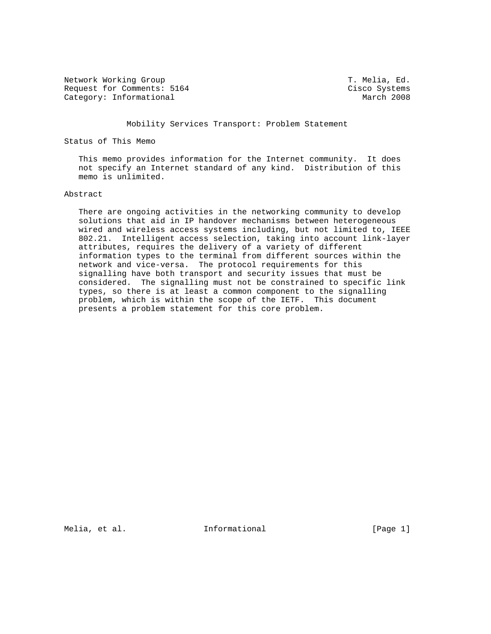Network Working Group T. Melia, Ed. Request for Comments: 5164 Cisco Systems<br>
Category: Informational March 2008 Category: Informational

## Mobility Services Transport: Problem Statement

Status of This Memo

 This memo provides information for the Internet community. It does not specify an Internet standard of any kind. Distribution of this memo is unlimited.

## Abstract

 There are ongoing activities in the networking community to develop solutions that aid in IP handover mechanisms between heterogeneous wired and wireless access systems including, but not limited to, IEEE 802.21. Intelligent access selection, taking into account link-layer attributes, requires the delivery of a variety of different information types to the terminal from different sources within the network and vice-versa. The protocol requirements for this signalling have both transport and security issues that must be considered. The signalling must not be constrained to specific link types, so there is at least a common component to the signalling problem, which is within the scope of the IETF. This document presents a problem statement for this core problem.

Melia, et al. 10. Informational 1. [Page 1]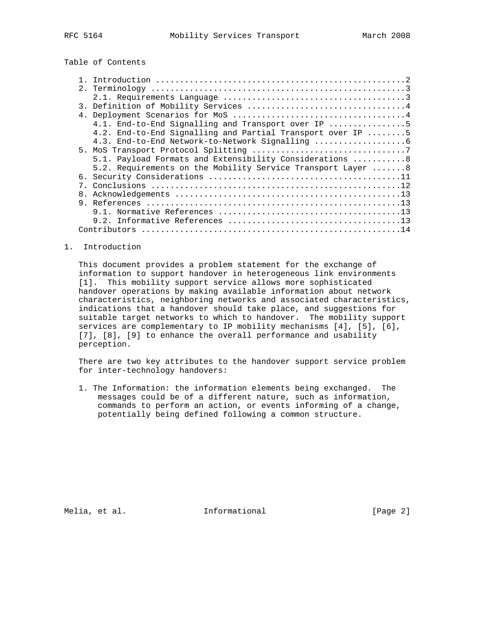Table of Contents

| 4.1. End-to-End Signalling and Transport over IP 5          |
|-------------------------------------------------------------|
| 4.2. End-to-End Signalling and Partial Transport over IP 5  |
| 4.3. End-to-End Network-to-Network Signalling               |
|                                                             |
| 5.1. Payload Formats and Extensibility Considerations  8    |
| 5.2. Requirements on the Mobility Service Transport Layer 8 |
|                                                             |
|                                                             |
|                                                             |
|                                                             |
|                                                             |
|                                                             |
|                                                             |

### 1. Introduction

 This document provides a problem statement for the exchange of information to support handover in heterogeneous link environments [1]. This mobility support service allows more sophisticated handover operations by making available information about network characteristics, neighboring networks and associated characteristics, indications that a handover should take place, and suggestions for suitable target networks to which to handover. The mobility support services are complementary to IP mobility mechanisms [4], [5], [6], [7], [8], [9] to enhance the overall performance and usability perception.

 There are two key attributes to the handover support service problem for inter-technology handovers:

 1. The Information: the information elements being exchanged. The messages could be of a different nature, such as information, commands to perform an action, or events informing of a change, potentially being defined following a common structure.

Melia, et al. 10 methods informational 100 methods [Page 2]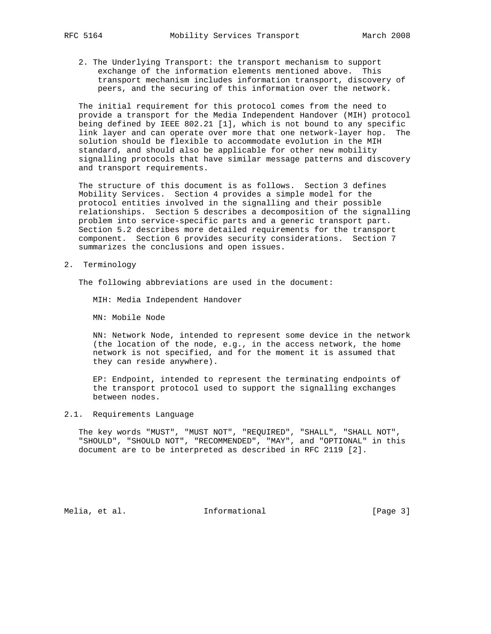- - 2. The Underlying Transport: the transport mechanism to support exchange of the information elements mentioned above. This transport mechanism includes information transport, discovery of peers, and the securing of this information over the network.

 The initial requirement for this protocol comes from the need to provide a transport for the Media Independent Handover (MIH) protocol being defined by IEEE 802.21 [1], which is not bound to any specific link layer and can operate over more that one network-layer hop. The solution should be flexible to accommodate evolution in the MIH standard, and should also be applicable for other new mobility signalling protocols that have similar message patterns and discovery and transport requirements.

 The structure of this document is as follows. Section 3 defines Mobility Services. Section 4 provides a simple model for the protocol entities involved in the signalling and their possible relationships. Section 5 describes a decomposition of the signalling problem into service-specific parts and a generic transport part. Section 5.2 describes more detailed requirements for the transport component. Section 6 provides security considerations. Section 7 summarizes the conclusions and open issues.

2. Terminology

The following abbreviations are used in the document:

MIH: Media Independent Handover

MN: Mobile Node

 NN: Network Node, intended to represent some device in the network (the location of the node, e.g., in the access network, the home network is not specified, and for the moment it is assumed that they can reside anywhere).

 EP: Endpoint, intended to represent the terminating endpoints of the transport protocol used to support the signalling exchanges between nodes.

## 2.1. Requirements Language

 The key words "MUST", "MUST NOT", "REQUIRED", "SHALL", "SHALL NOT", "SHOULD", "SHOULD NOT", "RECOMMENDED", "MAY", and "OPTIONAL" in this document are to be interpreted as described in RFC 2119 [2].

Melia, et al. 10 methods informational 10 methods [Page 3]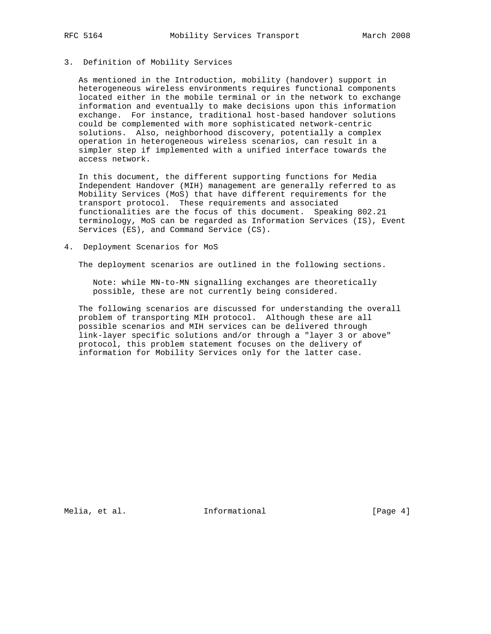## 3. Definition of Mobility Services

 As mentioned in the Introduction, mobility (handover) support in heterogeneous wireless environments requires functional components located either in the mobile terminal or in the network to exchange information and eventually to make decisions upon this information exchange. For instance, traditional host-based handover solutions could be complemented with more sophisticated network-centric solutions. Also, neighborhood discovery, potentially a complex operation in heterogeneous wireless scenarios, can result in a simpler step if implemented with a unified interface towards the access network.

 In this document, the different supporting functions for Media Independent Handover (MIH) management are generally referred to as Mobility Services (MoS) that have different requirements for the transport protocol. These requirements and associated functionalities are the focus of this document. Speaking 802.21 terminology, MoS can be regarded as Information Services (IS), Event Services (ES), and Command Service (CS).

## 4. Deployment Scenarios for MoS

The deployment scenarios are outlined in the following sections.

 Note: while MN-to-MN signalling exchanges are theoretically possible, these are not currently being considered.

 The following scenarios are discussed for understanding the overall problem of transporting MIH protocol. Although these are all possible scenarios and MIH services can be delivered through link-layer specific solutions and/or through a "layer 3 or above" protocol, this problem statement focuses on the delivery of information for Mobility Services only for the latter case.

Melia, et al. 10 mm informational 1999 [Page 4]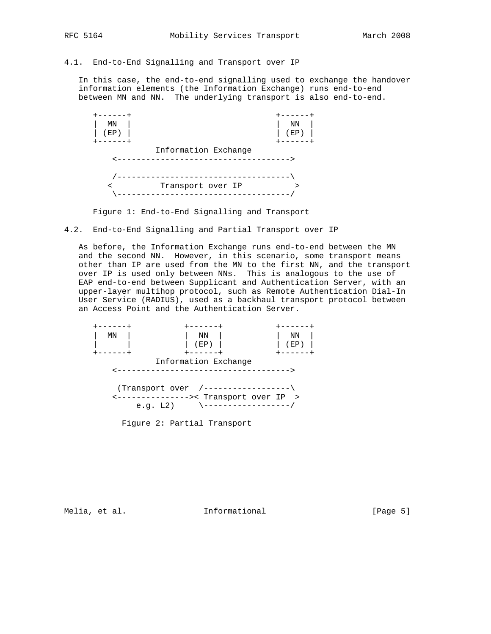# 4.1. End-to-End Signalling and Transport over IP

 In this case, the end-to-end signalling used to exchange the handover information elements (the Information Exchange) runs end-to-end between MN and NN. The underlying transport is also end-to-end.



Figure 1: End-to-End Signalling and Transport

4.2. End-to-End Signalling and Partial Transport over IP

 As before, the Information Exchange runs end-to-end between the MN and the second NN. However, in this scenario, some transport means other than IP are used from the MN to the first NN, and the transport over IP is used only between NNs. This is analogous to the use of EAP end-to-end between Supplicant and Authentication Server, with an upper-layer multihop protocol, such as Remote Authentication Dial-In User Service (RADIUS), used as a backhaul transport protocol between an Access Point and the Authentication Server.



Figure 2: Partial Transport

Melia, et al. 10 methormational 11 methormational [Page 5]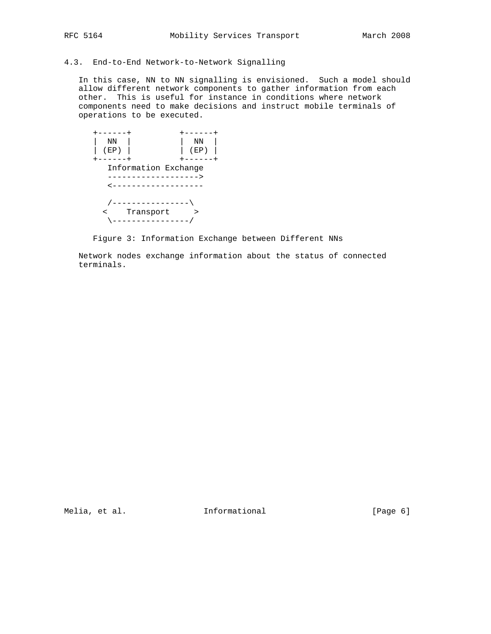# 4.3. End-to-End Network-to-Network Signalling

 In this case, NN to NN signalling is envisioned. Such a model should allow different network components to gather information from each other. This is useful for instance in conditions where network components need to make decisions and instruct mobile terminals of operations to be executed.



Figure 3: Information Exchange between Different NNs

 Network nodes exchange information about the status of connected terminals.

Melia, et al. 10 methods informational 10 methods [Page 6]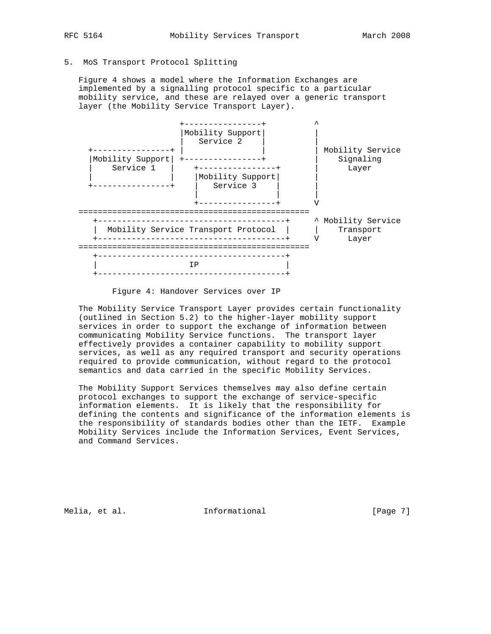## 5. MoS Transport Protocol Splitting

 Figure 4 shows a model where the Information Exchanges are implemented by a signalling protocol specific to a particular mobility service, and these are relayed over a generic transport layer (the Mobility Service Transport Layer).



Figure 4: Handover Services over IP

 The Mobility Service Transport Layer provides certain functionality (outlined in Section 5.2) to the higher-layer mobility support services in order to support the exchange of information between communicating Mobility Service functions. The transport layer effectively provides a container capability to mobility support services, as well as any required transport and security operations required to provide communication, without regard to the protocol semantics and data carried in the specific Mobility Services.

 The Mobility Support Services themselves may also define certain protocol exchanges to support the exchange of service-specific information elements. It is likely that the responsibility for defining the contents and significance of the information elements is the responsibility of standards bodies other than the IETF. Example Mobility Services include the Information Services, Event Services, and Command Services.

Melia, et al. 10 mm informational 1999 [Page 7]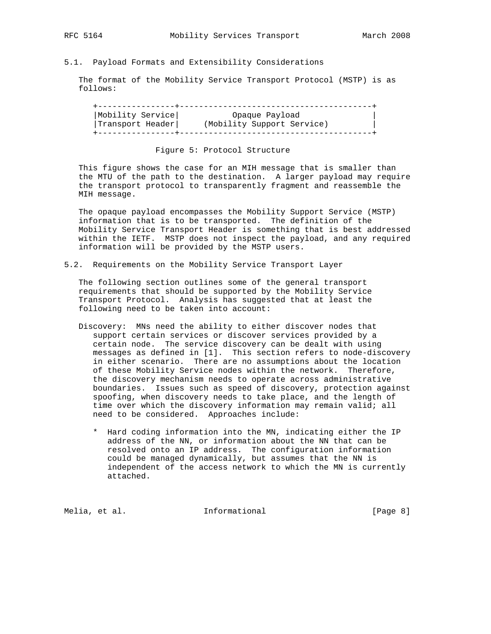## 5.1. Payload Formats and Extensibility Considerations

 The format of the Mobility Service Transport Protocol (MSTP) is as follows:

| Mobility Service                         | Opaque Payload             |  |
|------------------------------------------|----------------------------|--|
| $ {\texttt{Transport} \texttt{Header}} $ | (Mobility Support Service) |  |
|                                          |                            |  |

## Figure 5: Protocol Structure

 This figure shows the case for an MIH message that is smaller than the MTU of the path to the destination. A larger payload may require the transport protocol to transparently fragment and reassemble the MIH message.

 The opaque payload encompasses the Mobility Support Service (MSTP) information that is to be transported. The definition of the Mobility Service Transport Header is something that is best addressed within the IETF. MSTP does not inspect the payload, and any required information will be provided by the MSTP users.

5.2. Requirements on the Mobility Service Transport Layer

 The following section outlines some of the general transport requirements that should be supported by the Mobility Service Transport Protocol. Analysis has suggested that at least the following need to be taken into account:

- Discovery: MNs need the ability to either discover nodes that support certain services or discover services provided by a certain node. The service discovery can be dealt with using messages as defined in [1]. This section refers to node-discovery in either scenario. There are no assumptions about the location of these Mobility Service nodes within the network. Therefore, the discovery mechanism needs to operate across administrative boundaries. Issues such as speed of discovery, protection against spoofing, when discovery needs to take place, and the length of time over which the discovery information may remain valid; all need to be considered. Approaches include:
	- \* Hard coding information into the MN, indicating either the IP address of the NN, or information about the NN that can be resolved onto an IP address. The configuration information could be managed dynamically, but assumes that the NN is independent of the access network to which the MN is currently attached.

Melia, et al. 10 methormational 11 methormational [Page 8]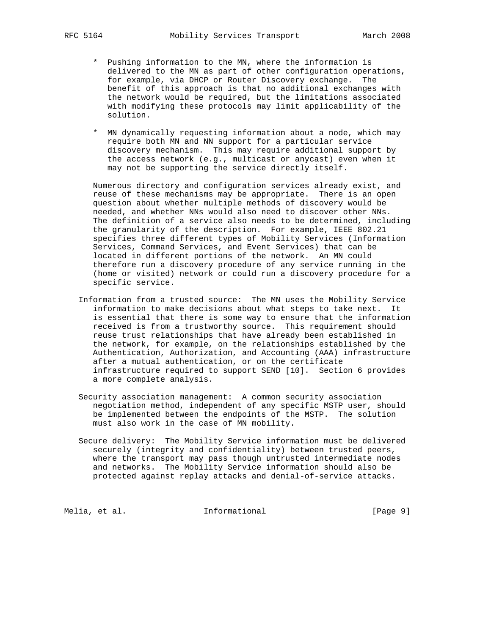- \* Pushing information to the MN, where the information is delivered to the MN as part of other configuration operations, for example, via DHCP or Router Discovery exchange. The benefit of this approach is that no additional exchanges with the network would be required, but the limitations associated with modifying these protocols may limit applicability of the solution.
- \* MN dynamically requesting information about a node, which may require both MN and NN support for a particular service discovery mechanism. This may require additional support by the access network (e.g., multicast or anycast) even when it may not be supporting the service directly itself.

 Numerous directory and configuration services already exist, and reuse of these mechanisms may be appropriate. There is an open question about whether multiple methods of discovery would be needed, and whether NNs would also need to discover other NNs. The definition of a service also needs to be determined, including the granularity of the description. For example, IEEE 802.21 specifies three different types of Mobility Services (Information Services, Command Services, and Event Services) that can be located in different portions of the network. An MN could therefore run a discovery procedure of any service running in the (home or visited) network or could run a discovery procedure for a specific service.

- Information from a trusted source: The MN uses the Mobility Service information to make decisions about what steps to take next. It is essential that there is some way to ensure that the information received is from a trustworthy source. This requirement should reuse trust relationships that have already been established in the network, for example, on the relationships established by the Authentication, Authorization, and Accounting (AAA) infrastructure after a mutual authentication, or on the certificate infrastructure required to support SEND [10]. Section 6 provides a more complete analysis.
- Security association management: A common security association negotiation method, independent of any specific MSTP user, should be implemented between the endpoints of the MSTP. The solution must also work in the case of MN mobility.
- Secure delivery: The Mobility Service information must be delivered securely (integrity and confidentiality) between trusted peers, where the transport may pass though untrusted intermediate nodes and networks. The Mobility Service information should also be protected against replay attacks and denial-of-service attacks.

Melia, et al. 10 mm informational 1999 [Page 9]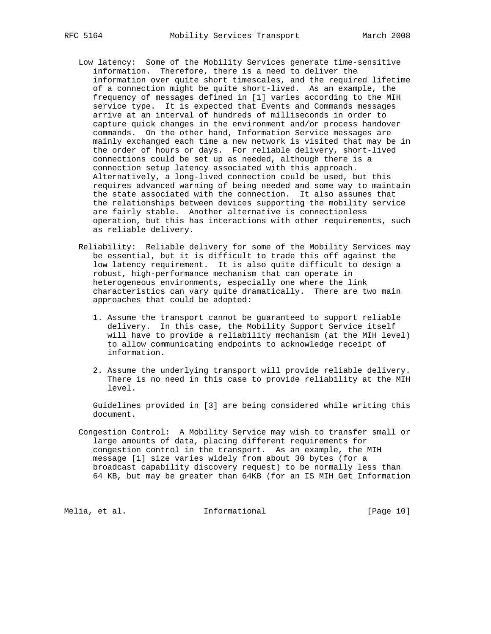- Low latency: Some of the Mobility Services generate time-sensitive information. Therefore, there is a need to deliver the information over quite short timescales, and the required lifetime of a connection might be quite short-lived. As an example, the frequency of messages defined in [1] varies according to the MIH service type. It is expected that Events and Commands messages arrive at an interval of hundreds of milliseconds in order to capture quick changes in the environment and/or process handover commands. On the other hand, Information Service messages are mainly exchanged each time a new network is visited that may be in the order of hours or days. For reliable delivery, short-lived connections could be set up as needed, although there is a connection setup latency associated with this approach. Alternatively, a long-lived connection could be used, but this requires advanced warning of being needed and some way to maintain the state associated with the connection. It also assumes that the relationships between devices supporting the mobility service are fairly stable. Another alternative is connectionless operation, but this has interactions with other requirements, such as reliable delivery.
- Reliability: Reliable delivery for some of the Mobility Services may be essential, but it is difficult to trade this off against the low latency requirement. It is also quite difficult to design a robust, high-performance mechanism that can operate in heterogeneous environments, especially one where the link characteristics can vary quite dramatically. There are two main approaches that could be adopted:
	- 1. Assume the transport cannot be guaranteed to support reliable delivery. In this case, the Mobility Support Service itself will have to provide a reliability mechanism (at the MIH level) to allow communicating endpoints to acknowledge receipt of information.
	- 2. Assume the underlying transport will provide reliable delivery. There is no need in this case to provide reliability at the MIH level.

 Guidelines provided in [3] are being considered while writing this document.

 Congestion Control: A Mobility Service may wish to transfer small or large amounts of data, placing different requirements for congestion control in the transport. As an example, the MIH message [1] size varies widely from about 30 bytes (for a broadcast capability discovery request) to be normally less than 64 KB, but may be greater than 64KB (for an IS MIH\_Get\_Information

Melia, et al. 10 methormational 11 methormational [Page 10]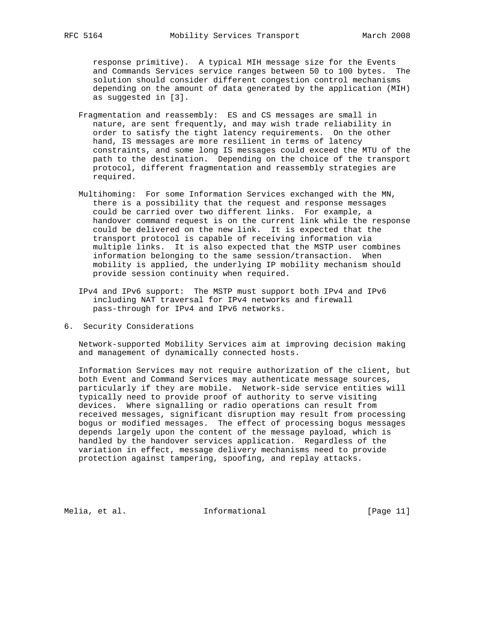response primitive). A typical MIH message size for the Events and Commands Services service ranges between 50 to 100 bytes. The solution should consider different congestion control mechanisms depending on the amount of data generated by the application (MIH) as suggested in [3].

- Fragmentation and reassembly: ES and CS messages are small in nature, are sent frequently, and may wish trade reliability in order to satisfy the tight latency requirements. On the other hand, IS messages are more resilient in terms of latency constraints, and some long IS messages could exceed the MTU of the path to the destination. Depending on the choice of the transport protocol, different fragmentation and reassembly strategies are required.
- Multihoming: For some Information Services exchanged with the MN, there is a possibility that the request and response messages could be carried over two different links. For example, a handover command request is on the current link while the response could be delivered on the new link. It is expected that the transport protocol is capable of receiving information via multiple links. It is also expected that the MSTP user combines information belonging to the same session/transaction. When mobility is applied, the underlying IP mobility mechanism should provide session continuity when required.
- IPv4 and IPv6 support: The MSTP must support both IPv4 and IPv6 including NAT traversal for IPv4 networks and firewall pass-through for IPv4 and IPv6 networks.
- 6. Security Considerations

 Network-supported Mobility Services aim at improving decision making and management of dynamically connected hosts.

 Information Services may not require authorization of the client, but both Event and Command Services may authenticate message sources, particularly if they are mobile. Network-side service entities will typically need to provide proof of authority to serve visiting devices. Where signalling or radio operations can result from received messages, significant disruption may result from processing bogus or modified messages. The effect of processing bogus messages depends largely upon the content of the message payload, which is handled by the handover services application. Regardless of the variation in effect, message delivery mechanisms need to provide protection against tampering, spoofing, and replay attacks.

Melia, et al. 10. Informational 1. [Page 11]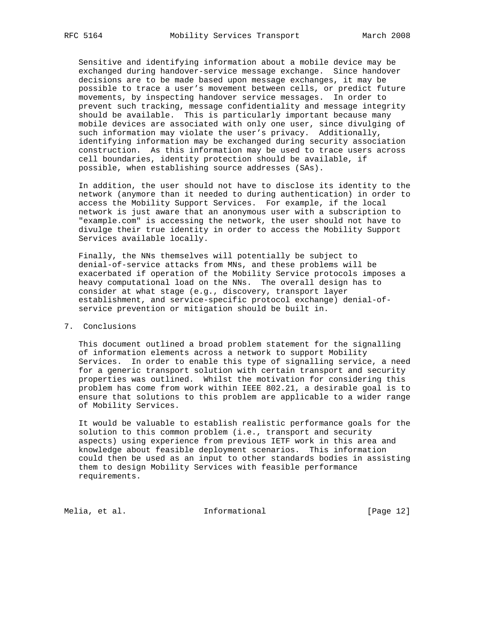Sensitive and identifying information about a mobile device may be exchanged during handover-service message exchange. Since handover decisions are to be made based upon message exchanges, it may be possible to trace a user's movement between cells, or predict future movements, by inspecting handover service messages. In order to prevent such tracking, message confidentiality and message integrity should be available. This is particularly important because many mobile devices are associated with only one user, since divulging of such information may violate the user's privacy. Additionally, identifying information may be exchanged during security association construction. As this information may be used to trace users across cell boundaries, identity protection should be available, if possible, when establishing source addresses (SAs).

 In addition, the user should not have to disclose its identity to the network (anymore than it needed to during authentication) in order to access the Mobility Support Services. For example, if the local network is just aware that an anonymous user with a subscription to "example.com" is accessing the network, the user should not have to divulge their true identity in order to access the Mobility Support Services available locally.

 Finally, the NNs themselves will potentially be subject to denial-of-service attacks from MNs, and these problems will be exacerbated if operation of the Mobility Service protocols imposes a heavy computational load on the NNs. The overall design has to consider at what stage (e.g., discovery, transport layer establishment, and service-specific protocol exchange) denial-of service prevention or mitigation should be built in.

## 7. Conclusions

 This document outlined a broad problem statement for the signalling of information elements across a network to support Mobility Services. In order to enable this type of signalling service, a need for a generic transport solution with certain transport and security properties was outlined. Whilst the motivation for considering this problem has come from work within IEEE 802.21, a desirable goal is to ensure that solutions to this problem are applicable to a wider range of Mobility Services.

 It would be valuable to establish realistic performance goals for the solution to this common problem (i.e., transport and security aspects) using experience from previous IETF work in this area and knowledge about feasible deployment scenarios. This information could then be used as an input to other standards bodies in assisting them to design Mobility Services with feasible performance requirements.

Melia, et al. 10 methormational 1999 [Page 12]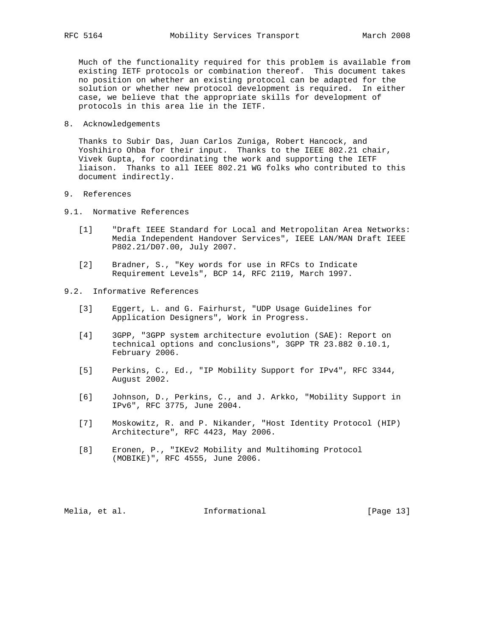Much of the functionality required for this problem is available from existing IETF protocols or combination thereof. This document takes no position on whether an existing protocol can be adapted for the solution or whether new protocol development is required. In either case, we believe that the appropriate skills for development of protocols in this area lie in the IETF.

8. Acknowledgements

 Thanks to Subir Das, Juan Carlos Zuniga, Robert Hancock, and Yoshihiro Ohba for their input. Thanks to the IEEE 802.21 chair, Vivek Gupta, for coordinating the work and supporting the IETF liaison. Thanks to all IEEE 802.21 WG folks who contributed to this document indirectly.

- 9. References
- 9.1. Normative References
	- [1] "Draft IEEE Standard for Local and Metropolitan Area Networks: Media Independent Handover Services", IEEE LAN/MAN Draft IEEE P802.21/D07.00, July 2007.
	- [2] Bradner, S., "Key words for use in RFCs to Indicate Requirement Levels", BCP 14, RFC 2119, March 1997.
- 9.2. Informative References
	- [3] Eggert, L. and G. Fairhurst, "UDP Usage Guidelines for Application Designers", Work in Progress.
	- [4] 3GPP, "3GPP system architecture evolution (SAE): Report on technical options and conclusions", 3GPP TR 23.882 0.10.1, February 2006.
	- [5] Perkins, C., Ed., "IP Mobility Support for IPv4", RFC 3344, August 2002.
	- [6] Johnson, D., Perkins, C., and J. Arkko, "Mobility Support in IPv6", RFC 3775, June 2004.
	- [7] Moskowitz, R. and P. Nikander, "Host Identity Protocol (HIP) Architecture", RFC 4423, May 2006.
	- [8] Eronen, P., "IKEv2 Mobility and Multihoming Protocol (MOBIKE)", RFC 4555, June 2006.

Melia, et al. 10 methormational 1999 [Page 13]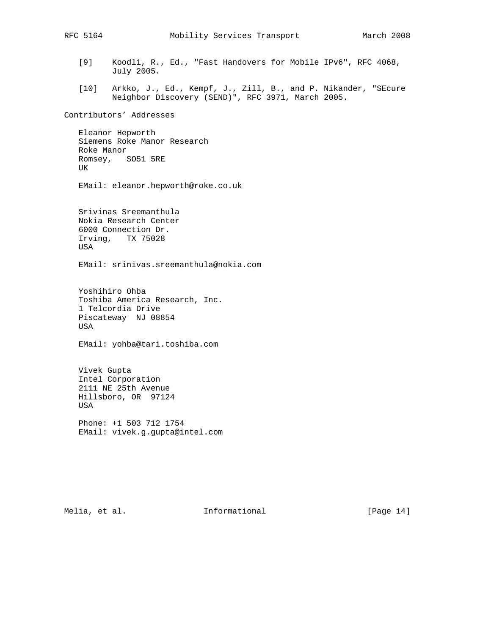- [9] Koodli, R., Ed., "Fast Handovers for Mobile IPv6", RFC 4068, July 2005.
- [10] Arkko, J., Ed., Kempf, J., Zill, B., and P. Nikander, "SEcure Neighbor Discovery (SEND)", RFC 3971, March 2005.

Contributors' Addresses

 Eleanor Hepworth Siemens Roke Manor Research Roke Manor Romsey, SO51 5RE UK

EMail: eleanor.hepworth@roke.co.uk

 Srivinas Sreemanthula Nokia Research Center 6000 Connection Dr. Irving, TX 75028 USA

EMail: srinivas.sreemanthula@nokia.com

 Yoshihiro Ohba Toshiba America Research, Inc. 1 Telcordia Drive Piscateway NJ 08854 USA

EMail: yohba@tari.toshiba.com

 Vivek Gupta Intel Corporation 2111 NE 25th Avenue Hillsboro, OR 97124 USA

 Phone: +1 503 712 1754 EMail: vivek.g.gupta@intel.com

Melia, et al. 10. Informational 1. [Page 14]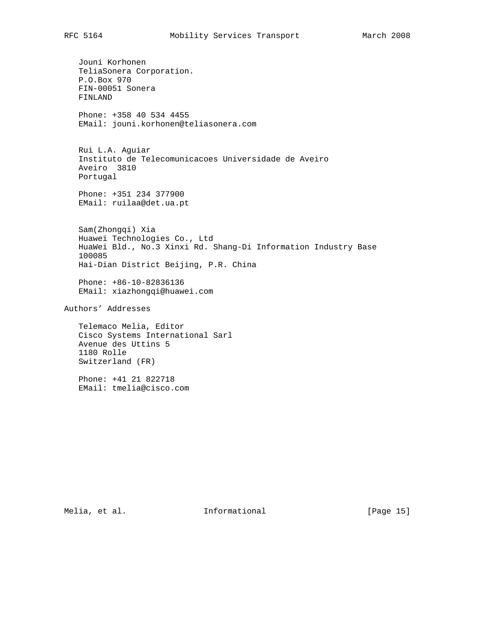Jouni Korhonen TeliaSonera Corporation. P.O.Box 970 FIN-00051 Sonera FINLAND Phone: +358 40 534 4455 EMail: jouni.korhonen@teliasonera.com Rui L.A. Aguiar Instituto de Telecomunicacoes Universidade de Aveiro Aveiro 3810 Portugal Phone: +351 234 377900 EMail: ruilaa@det.ua.pt Sam(Zhongqi) Xia Huawei Technologies Co., Ltd HuaWei Bld., No.3 Xinxi Rd. Shang-Di Information Industry Base 100085 Hai-Dian District Beijing, P.R. China Phone: +86-10-82836136 EMail: xiazhongqi@huawei.com Authors' Addresses Telemaco Melia, Editor Cisco Systems International Sarl Avenue des Uttins 5 1180 Rolle Switzerland (FR)

 Phone: +41 21 822718 EMail: tmelia@cisco.com

Melia, et al. 10 methormational 1999 [Page 15]